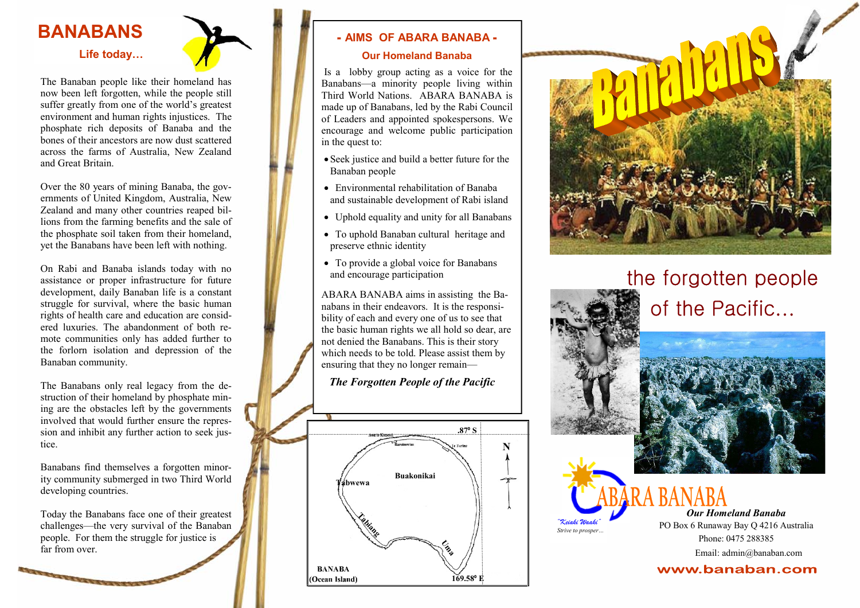## **BANABANS**

#### **Life toda y …**

The Banaban people like their homelan d has nowbeen left forgotten, while the people still suffer greatly from one of the world's greatest environ ment and human ri g hts injustices. The phosphate rich deposits of Banaba and the bones of their ancestors are now dust scattered across the farms of Australia, New Zealandand Great Britain.

O ver the 80 years of minin g Banaba, the governments of United Kingdo m, Australia, New Zealand and man y other countries reaped billions from the farmin g benefits and the sale of the phosphate soil taken from their homeland, ye<sup>t</sup> the Banabans have been left with nothin g.

O n Rabi and Banaba islan ds toda y with no assistance or proper infrastructure for future develop ment, dail y Banaban life is <sup>a</sup> constant struggle for survival, where the basic human rig hts of health care and education are considered luxuries. The abandonment of both remote communities only has added further to the forlorn isolation and depression of the Banaban community.

The Banabans only real le gacy from the destruction of their homeland by phosphate mining are the obstacles left by the govern ments involved that would further ens ure the repression and inhibit an y further action to seek justice.

Banabans find themsel ves a forgotten minority commu nit y sub merged in two Third Worl d developin g countries.

Toda y the Banabans face one of their greatest challenges—the very sur vival of the Banabanpeople. For them the strug gle for justice is far from over.

#### - **AIMSOF ABARABANABA** -

#### **Our Homeland Banab a**

Is a lob b y grou p actin g as <sup>a</sup> voice for the Banabans—a minorit y people li vin g within Third Worl d Nations. ABARA BANABA is made up of Banabans, led by the Rabi Council of Leaders and appointed spokespersons. We encourage an d welco me public participatio n in the ques<sup>t</sup> to:

- Seek justice and build <sup>a</sup> better future for the Banaban people
- Environmental rehabilitation of Banaba an d sustainable develop ment of Rabi islan d
- Uphold equality and unity for all Banabans
- To uphold Banaban cultural heritage and preserve ethnic identit y
- To provide <sup>a</sup> global voice for Banabans and encourage participation

ABARA BANABA aims in assisting the Banabans in their endeavors. It is the responsibilit y of each and ever y one of us to see that the basic human rights we all hold so dear, are not denied the Banabans. This is their stor y w hich needs to be told. Please assist them b y ensuring that they no longer remain—

### *TheForgotte n People of th e Pacific*





# the f o rgotten peopl e of the Pacific...



*Our Homeland Banaba* PO Box 6 Runaway Bay Q 4216 Australia Phone: 0475 288385 Email: admin@banaban.co m

*"Keiaki Waaki"Strive to prosper…*

### www.banaban.com